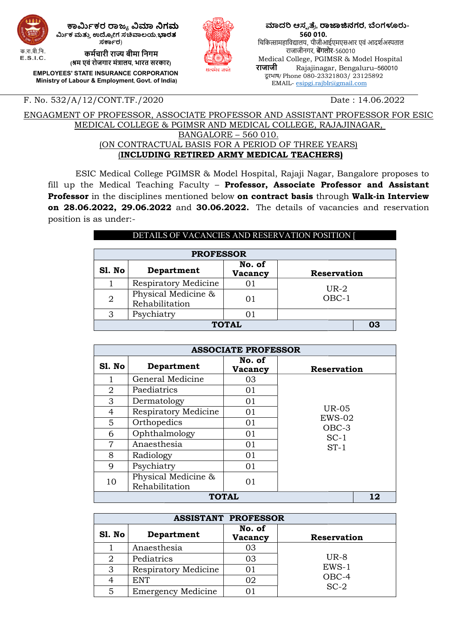

ಗಮ್ಮ ಕಾರ್ಮಿಕರ ರಾಜ್ಯ ವಿಮಾ ನಿಗಮ ರ್ಮಿಕ ಮತ್ತು ಉದ್ಯೋಗ ಸಚಿವಾಲಯ,ಭಾರತ ಸರ್ಕಾರ)

> कर्मचारी राज्य बीमा निगम (श्रम एवं रोजगार मंत्रालय, भारत सरकार)

EMPLOYEES' STATE INSURANCE CORPORATION EMPLOYEES' STATE INSURANCE CORPORATION<br>Ministry of Labour & Employment, Govt. of India)



ಮಾದರಿ ಆಸ್ಪತ್ರೆ, ರಾಜಾಜಿನಗರ, ಬೆಂಗಳೂರು- 560 010. चिकित्सामहाविद्यालय, पीजीआईएमएसआर एवं आदर्शअस्पताल राजाजीनगर, **बेंगलोर**-560010 Medical College, PGIMSR & Model Hospital राजाजी Rajajinagar, Bengaluru–560010 दू रभाष/ Phone 080-23321803/ 23125892 23321803/ EMAIL- esipgi.rajblr@gmail.com

F. No. 532/A/12/CONT.TF./2020

#### Date : 14.06.2022

ENGAGMENT OF PROFESSOR, ASSOCIATE PROFESSOR AND ASSISTANT PROFESSOR FOR ESIC MEDICAL COLLEGE & MEDICAL PGIMSR AND MEDICAL COLLEGE, RAJAJINAGAR, (ON CONTRACTUAL BASIS FOR A PERIOD OF THREE YEARS) (INCLUDING INCLUDING RETIRED ARMY MEDICAL TEACHERS ) BANGALORE – 560 010.

ESIC Medical College PGIMSR & Model Hospital, Rajaji Nagar, Bangalore proposes to fill up the Medical Teaching Faculty - Professor, Associate Professor and Assistant Professor in the disciplines mentioned below on contract basis through Walk-in Interview on 28.06.2022, 29.06.2022 and 30.06.2022. The details of vacancies and reservation position is as under:-

| DETAILS OF VACANCIES AND RESERVATION POSITION [ |                                       |                   |                    |  |  |  |
|-------------------------------------------------|---------------------------------------|-------------------|--------------------|--|--|--|
| <b>PROFESSOR</b>                                |                                       |                   |                    |  |  |  |
| Sl. No                                          | Department                            | No. of<br>Vacancy | <b>Reservation</b> |  |  |  |
|                                                 | <b>Respiratory Medicine</b>           | 01                | $UR-2$             |  |  |  |
| $\overline{2}$                                  | Physical Medicine &<br>Rehabilitation | 01                | $OBC-1$            |  |  |  |
| Psychiatry<br>3<br>01                           |                                       |                   |                    |  |  |  |
| <b>TOTAL</b><br>03                              |                                       |                   |                    |  |  |  |

|        | <b>ASSOCIATE PROFESSOR</b>                 |                         |             |  |  |
|--------|--------------------------------------------|-------------------------|-------------|--|--|
| Sl. No | Department                                 | No. of<br>Vacancy       | Reservation |  |  |
|        | General Medicine                           | 03                      |             |  |  |
| 2      | Paediatrics                                | 01                      |             |  |  |
| 3      | Dermatology                                | 01                      |             |  |  |
| 4      | <b>UR-05</b><br>Respiratory Medicine<br>01 |                         |             |  |  |
| 5      | Orthopedics                                | $EWS-02$<br>01<br>OBC-3 |             |  |  |
| 6      | Ophthalmology                              | 01                      | $SC-1$      |  |  |
| 7      | Anaesthesia                                | 01                      | $ST-1$      |  |  |
| 8      | Radiology                                  | 01                      |             |  |  |
| 9      | Psychiatry                                 | 01                      |             |  |  |
| 10     | Physical Medicine &<br>Rehabilitation      | 01                      |             |  |  |
|        | <b>TOTAL</b><br>12                         |                         |             |  |  |

|        | <b>ASSISTANT PROFESSOR</b> |                   |                    |  |  |
|--------|----------------------------|-------------------|--------------------|--|--|
| Sl. No | Department                 | No. of<br>Vacancy | <b>Reservation</b> |  |  |
|        | Anaesthesia                | 03                |                    |  |  |
| 2      | Pediatrics                 | 03                | $UR-8$             |  |  |
| 3      | Respiratory Medicine       | 01                | $EWS-1$            |  |  |
| 4      | <b>ENT</b>                 | 02                | OBC-4              |  |  |
| 5      | <b>Emergency Medicine</b>  |                   | $SC-2$             |  |  |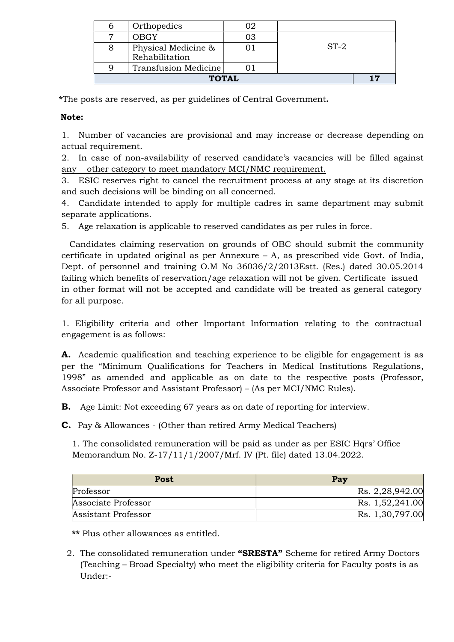| n            | Orthopedics          |    |        |  |
|--------------|----------------------|----|--------|--|
|              | OBGY                 | 03 |        |  |
|              | Physical Medicine &  |    | $ST-2$ |  |
|              | Rehabilitation       |    |        |  |
|              | Transfusion Medicine |    |        |  |
| <b>TOTAL</b> |                      |    |        |  |

\*The posts are reserved, as per guidelines of Central Government.

### Note:

1. Number of vacancies are provisional and may increase or decrease depending on actual requirement.

2. In case of non-availability of reserved candidate's vacancies will be filled against any other category to meet mandatory MCI/NMC requirement.

3. ESIC reserves right to cancel the recruitment process at any stage at its discretion and such decisions will be binding on all concerned.

4. Candidate intended to apply for multiple cadres in same department may submit separate applications.

5. Age relaxation is applicable to reserved candidates as per rules in force.

 Candidates claiming reservation on grounds of OBC should submit the community certificate in updated original as per Annexure – A, as prescribed vide Govt. of India, Dept. of personnel and training O.M No 36036/2/2013Estt. (Res.) dated 30.05.2014 failing which benefits of reservation/age relaxation will not be given. Certificate issued in other format will not be accepted and candidate will be treated as general category for all purpose.

1. Eligibility criteria and other Important Information relating to the contractual engagement is as follows:

A. Academic qualification and teaching experience to be eligible for engagement is as per the "Minimum Qualifications for Teachers in Medical Institutions Regulations, 1998" as amended and applicable as on date to the respective posts (Professor, Associate Professor and Assistant Professor) – (As per MCI/NMC Rules).

B. Age Limit: Not exceeding 67 years as on date of reporting for interview.

C. Pay & Allowances - (Other than retired Army Medical Teachers)

 1. The consolidated remuneration will be paid as under as per ESIC Hqrs' Office Memorandum No. Z-17/11/1/2007/Mrf. IV (Pt. file) dated 13.04.2022.

| Post                | Pay             |
|---------------------|-----------------|
| Professor           | Rs. 2,28,942.00 |
| Associate Professor | Rs. 1,52,241.00 |
| Assistant Professor | Rs. 1,30,797.00 |

\*\* Plus other allowances as entitled.

2. The consolidated remuneration under "SRESTA" Scheme for retired Army Doctors (Teaching – Broad Specialty) who meet the eligibility criteria for Faculty posts is as Under:-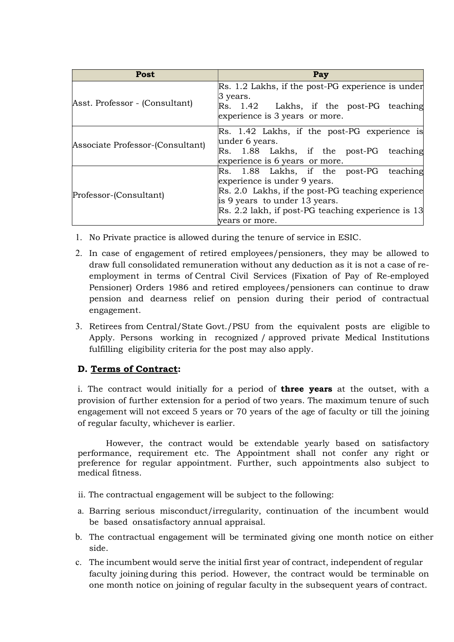| <b>Post</b>                      | Pay                                                                                                                                                                                                                                   |
|----------------------------------|---------------------------------------------------------------------------------------------------------------------------------------------------------------------------------------------------------------------------------------|
| Asst. Professor - (Consultant)   | Rs. 1.2 Lakhs, if the post-PG experience is under<br>$\beta$ years.<br>$\vert$ Rs. 1.42 Lakhs, if the post-PG teaching<br>experience is 3 years or more.                                                                              |
| Associate Professor-(Consultant) | Rs. 1.42 Lakhs, if the post-PG experience is<br>under 6 years.<br>Rs. 1.88 Lakhs, if the post-PG teaching<br>experience is 6 years or more.                                                                                           |
| Professor-(Consultant)           | Rs. 1.88 Lakhs, if the post-PG teaching<br>experience is under 9 years.<br>Rs. 2.0 Lakhs, if the post-PG teaching experience<br>is 9 years to under 13 years.<br>Rs. 2.2 lakh, if post-PG teaching experience is 13<br>vears or more. |

- 1. No Private practice is allowed during the tenure of service in ESIC.
- 2. In case of engagement of retired employees/pensioners, they may be allowed to draw full consolidated remuneration without any deduction as it is not a case of reemployment in terms of Central Civil Services (Fixation of Pay of Re-employed Pensioner) Orders 1986 and retired employees/pensioners can continue to draw pension and dearness relief on pension during their period of contractual engagement.
- 3. Retirees from Central/State Govt./PSU from the equivalent posts are eligible to Apply. Persons working in recognized / approved private Medical Institutions fulfilling eligibility criteria for the post may also apply.

### D. Terms of Contract:

i. The contract would initially for a period of **three years** at the outset, with a provision of further extension for a period of two years. The maximum tenure of such engagement will not exceed 5 years or 70 years of the age of faculty or till the joining of regular faculty, whichever is earlier.

 However, the contract would be extendable yearly based on satisfactory performance, requirement etc. The Appointment shall not confer any right or preference for regular appointment. Further, such appointments also subject to medical fitness.

- ii. The contractual engagement will be subject to the following:
- a. Barring serious misconduct/irregularity, continuation of the incumbent would be based on satisfactory annual appraisal.
- b. The contractual engagement will be terminated giving one month notice on either side.
- c. The incumbent would serve the initial first year of contract, independent of regular faculty joining during this period. However, the contract would be terminable on one month notice on joining of regular faculty in the subsequent years of contract.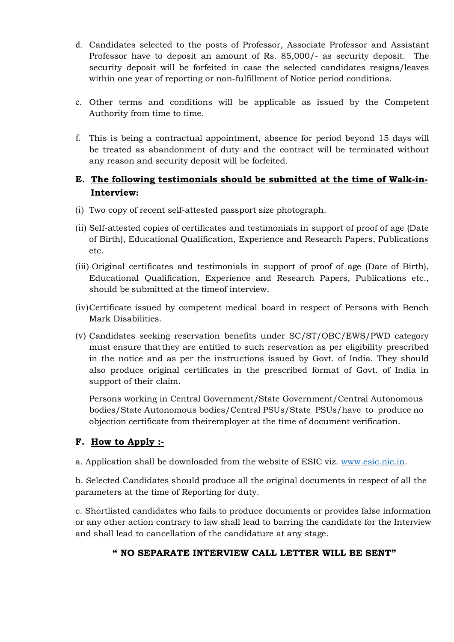- d. Candidates selected to the posts of Professor, Associate Professor and Assistant Professor have to deposit an amount of Rs. 85,000/- as security deposit. The security deposit will be forfeited in case the selected candidates resigns/leaves within one year of reporting or non-fulfillment of Notice period conditions.
- e. Other terms and conditions will be applicable as issued by the Competent Authority from time to time.
- f. This is being a contractual appointment, absence for period beyond 15 days will be treated as abandonment of duty and the contract will be terminated without any reason and security deposit will be forfeited.

# E. The following testimonials should be submitted at the time of Walk-in- Interview:

- (i) Two copy of recent self-attested passport size photograph.
- (ii) Self-attested copies of certificates and testimonials in support of proof of age (Date of Birth), Educational Qualification, Experience and Research Papers, Publications etc.
- (iii) Original certificates and testimonials in support of proof of age (Date of Birth), Educational Qualification, Experience and Research Papers, Publications etc., should be submitted at the time of interview.
- (iv)Certificate issued by competent medical board in respect of Persons with Bench Mark Disabilities.
- (v) Candidates seeking reservation benefits under SC/ST/OBC/EWS/PWD category must ensure that they are entitled to such reservation as per eligibility prescribed in the notice and as per the instructions issued by Govt. of India. They should also produce original certificates in the prescribed format of Govt. of India in support of their claim.

Persons working in Central Government/State Government/Central Autonomous bodies/State Autonomous bodies/Central PSUs/State PSUs/have to produce no objection certificate from their employer at the time of document verification.

# F. How to Apply :-

a. Application shall be downloaded from the website of ESIC viz. www.esic.nic.in.

b. Selected Candidates should produce all the original documents in respect of all the parameters at the time of Reporting for duty.

c. Shortlisted candidates who fails to produce documents or provides false information or any other action contrary to law shall lead to barring the candidate for the Interview and shall lead to cancellation of the candidature at any stage.

# " NO SEPARATE INTERVIEW CALL LETTER WILL BE SENT"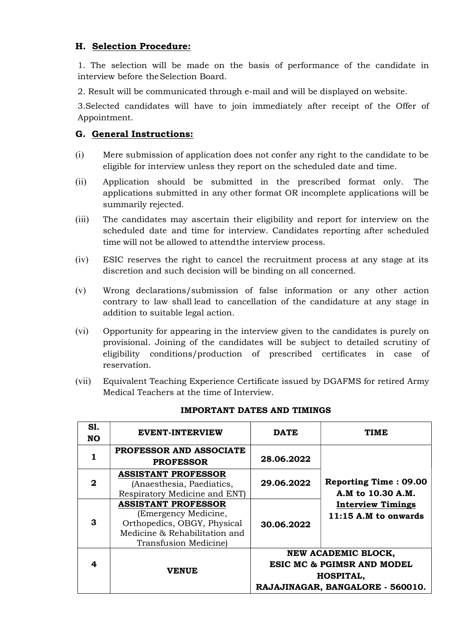# H. Selection Procedure:

1. The selection will be made on the basis of performance of the candidate in interview before the Selection Board.

2. Result will be communicated through e-mail and will be displayed on website.

3.Selected candidates will have to join immediately after receipt of the Offer of Appointment.

### G. General Instructions:

- (i) Mere submission of application does not confer any right to the candidate to be eligible for interview unless they report on the scheduled date and time.
- (ii) Application should be submitted in the prescribed format only. The applications submitted in any other format OR incomplete applications will be summarily rejected.
- (iii) The candidates may ascertain their eligibility and report for interview on the scheduled date and time for interview. Candidates reporting after scheduled time will not be allowed to attend the interview process.
- (iv) ESIC reserves the right to cancel the recruitment process at any stage at its discretion and such decision will be binding on all concerned.
- (v) Wrong declarations/submission of false information or any other action contrary to law shall lead to cancellation of the candidature at any stage in addition to suitable legal action.
- (vi) Opportunity for appearing in the interview given to the candidates is purely on provisional. Joining of the candidates will be subject to detailed scrutiny of eligibility conditions/production of prescribed certificates in case of reservation.
- (vii) Equivalent Teaching Experience Certificate issued by DGAFMS for retired Army Medical Teachers at the time of Interview.

| S1.<br><b>NO</b> | <b>EVENT-INTERVIEW</b>                                                                                                                      | <b>DATE</b>                                                                                                          | <b>TIME</b>                                        |  |
|------------------|---------------------------------------------------------------------------------------------------------------------------------------------|----------------------------------------------------------------------------------------------------------------------|----------------------------------------------------|--|
|                  | <b>PROFESSOR AND ASSOCIATE</b><br><b>PROFESSOR</b>                                                                                          | 28.06.2022                                                                                                           |                                                    |  |
| 2                | <b>ASSISTANT PROFESSOR</b><br>(Anaesthesia, Paediatics,<br>Respiratory Medicine and ENT)                                                    | 29.06.2022                                                                                                           | <b>Reporting Time: 09.00</b><br>A.M to 10.30 A.M.  |  |
| 3                | <b>ASSISTANT PROFESSOR</b><br>(Emergency Medicine,<br>Orthopedics, OBGY, Physical<br>Medicine & Rehabilitation and<br>Transfusion Medicine) | 30.06.2022                                                                                                           | <b>Interview Timings</b><br>$11:15$ A.M to onwards |  |
| 4                | <b>VENUE</b>                                                                                                                                | NEW ACADEMIC BLOCK,<br><b>ESIC MC &amp; PGIMSR AND MODEL</b><br><b>HOSPITAL,</b><br>RAJAJINAGAR, BANGALORE - 560010. |                                                    |  |

### IMPORTANT DATES AND TIMINGS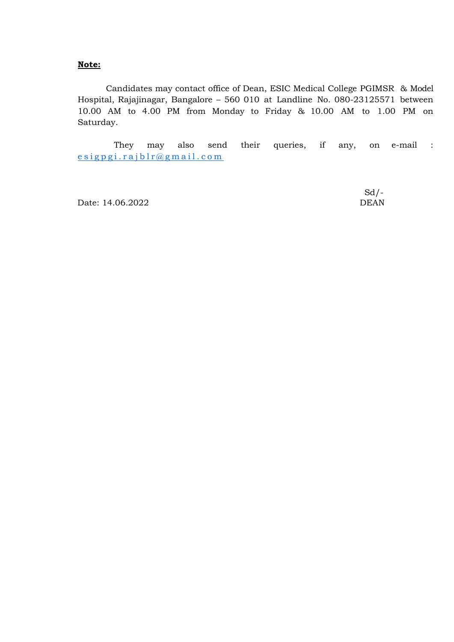### Note:

 Candidates may contact office of Dean, ESIC Medical College PGIMSR & Model Hospital, Rajajinagar, Bangalore – 560 010 at Landline No. 080-23125571 between 10.00 AM to 4.00 PM from Monday to Friday & 10.00 AM to 1.00 PM on Saturday.

 They may also send their queries, if any, on e-mail :  $e$  s i g p g i . r a j b  $l$  r  $@$  g m a i l . c o m

Date: 14.06.2022 DEAN

 $Sd$  /-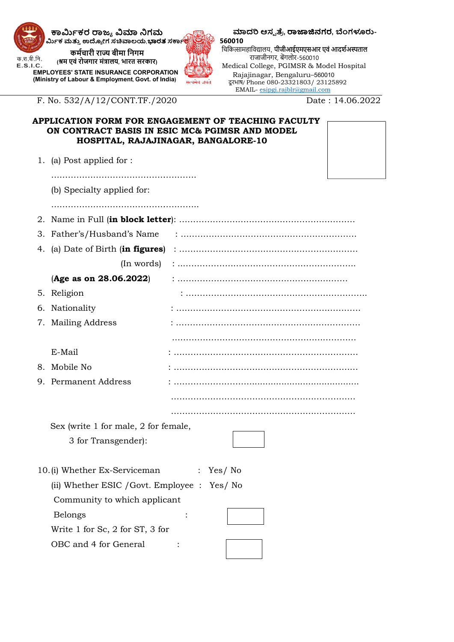

E.S.I.C.

ಮಾದರಿ ಆಸ್ಪತ್ರೆ, ರಾಜಾಜಿನಗರ, ಬೆಂಗಳೂರು-560010

Date: 14.06.2022

## APPLICATION FORM FOR ENGAGEMENT OF TEACHING FACULTY<br>ON CONTRACT BASIS IN ESIC MC& PGIMSR AND MODEL ON CONTRACT BASIS IN ESIC MC& PGIMSR AND MODEL HOSPITAL, RAJAJINAGAR, BANGALORE BANGALORE-10

|                     | ಕಾರ್ಮಿಕರ ರಾಜ್ಯ ವಿಮಾ ನಿಗಮ<br>ರ್ಮಿಕ ಮತ್ತು ಉದ್ಯೋಗ ಸಚಿವಾಲಯ, <b>ಭಾರತ</b> ಸರ್ಕಾ <b>ಲ್ಪ</b>                  |              | ಮಾದರಿ ಆಸ್ಪತ್ರೆ, ರಾಜಾಜಿನಗರ, ಬೆಂಗಳೂರು-<br>560010                                  |                 |
|---------------------|-------------------------------------------------------------------------------------------------------|--------------|---------------------------------------------------------------------------------|-----------------|
|                     | कर्मचारी राज्य बीमा निगम                                                                              |              | चिकित्सामहाविद्यालय, पीजीआईएमएसआर एवं आदर्शअस्पताल<br>राजाजीनगर, बेंगलोर-560010 |                 |
| रा.बी.नि.<br>S.I.C. | (श्रम एवं रोजगार मंत्रालय, भारत सरकार)                                                                |              | Medical College, PGIMSR & Model Hospital                                        |                 |
|                     | <b>EMPLOYEES' STATE INSURANCE CORPORATION</b><br>(Ministry of Labour & Employment, Govt. of India)    |              | Rajajinagar, Bengaluru-560010                                                   |                 |
|                     |                                                                                                       | सत्यमेव जयते | दूरभाष/ Phone 080-23321803/23125892<br>EMAIL- esipgi.rajblr@gmail.com           |                 |
|                     | F. No. 532/A/12/CONT.TF./2020                                                                         |              |                                                                                 | Date: 14.06.202 |
|                     |                                                                                                       |              |                                                                                 |                 |
|                     | APPLICATION FORM FOR ENGAGEMENT OF TEACHING FACULTY<br>ON CONTRACT BASIS IN ESIC MC& PGIMSR AND MODEL |              |                                                                                 |                 |
|                     | HOSPITAL, RAJAJINAGAR, BANGALORE-10                                                                   |              |                                                                                 |                 |
|                     |                                                                                                       |              |                                                                                 |                 |
|                     | 1. (a) Post applied for :                                                                             |              |                                                                                 |                 |
|                     |                                                                                                       |              |                                                                                 |                 |
|                     | (b) Specialty applied for:                                                                            |              |                                                                                 |                 |
|                     |                                                                                                       |              |                                                                                 |                 |
|                     |                                                                                                       |              |                                                                                 |                 |
| З.                  | Father's/Husband's Name                                                                               |              |                                                                                 |                 |
| 4.                  | (a) Date of Birth (in figures)                                                                        |              |                                                                                 |                 |
|                     |                                                                                                       |              |                                                                                 |                 |
|                     | (In words)                                                                                            |              |                                                                                 |                 |
|                     | (Age as on 28.06.2022)                                                                                |              |                                                                                 |                 |
|                     | 5. Religion                                                                                           |              |                                                                                 |                 |
| 6.                  | Nationality                                                                                           |              |                                                                                 |                 |
|                     | 7. Mailing Address                                                                                    |              |                                                                                 |                 |
|                     |                                                                                                       |              |                                                                                 |                 |
|                     | E-Mail                                                                                                |              |                                                                                 |                 |
|                     | 8. Mobile No                                                                                          |              |                                                                                 |                 |
|                     | 9. Permanent Address                                                                                  |              |                                                                                 |                 |
|                     |                                                                                                       |              |                                                                                 |                 |
|                     |                                                                                                       |              |                                                                                 |                 |
|                     |                                                                                                       |              |                                                                                 |                 |
|                     | Sex (write 1 for male, 2 for female,                                                                  |              |                                                                                 |                 |
|                     | 3 for Transgender):                                                                                   |              |                                                                                 |                 |
|                     |                                                                                                       |              |                                                                                 |                 |
|                     | 10.(i) Whether Ex-Serviceman                                                                          |              | $:$ Yes/No                                                                      |                 |
|                     | (ii) Whether ESIC / Govt. Employee : Yes/ No                                                          |              |                                                                                 |                 |
|                     | Community to which applicant                                                                          |              |                                                                                 |                 |
|                     | <b>Belongs</b>                                                                                        |              |                                                                                 |                 |
|                     | Write 1 for Sc, 2 for ST, 3 for                                                                       |              |                                                                                 |                 |
|                     | OBC and 4 for General                                                                                 |              |                                                                                 |                 |
|                     |                                                                                                       |              |                                                                                 |                 |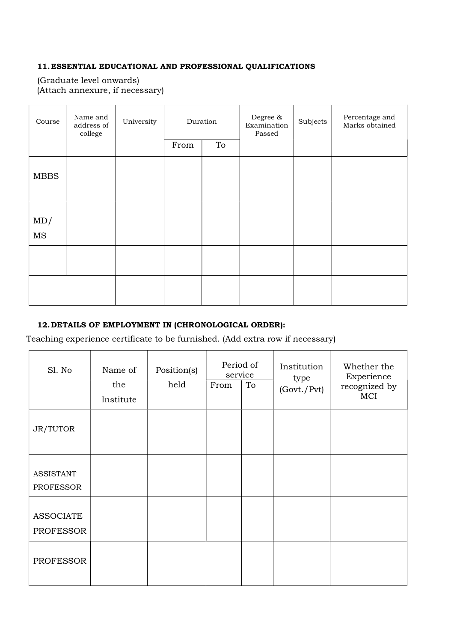### 11.ESSENTIAL EDUCATIONAL AND PROFESSIONAL QUALIFICATIONS

(Graduate level onwards) (Attach annexure, if necessary)

| Course           | Name and<br>address of<br>college | University |      | Duration | Degree $\&$<br>Examination<br>Passed | Subjects | Percentage and<br>Marks obtained |
|------------------|-----------------------------------|------------|------|----------|--------------------------------------|----------|----------------------------------|
|                  |                                   |            | From | To       |                                      |          |                                  |
| <b>MBBS</b>      |                                   |            |      |          |                                      |          |                                  |
| MD/<br>$\rm{MS}$ |                                   |            |      |          |                                      |          |                                  |
|                  |                                   |            |      |          |                                      |          |                                  |
|                  |                                   |            |      |          |                                      |          |                                  |

# 12.DETAILS OF EMPLOYMENT IN (CHRONOLOGICAL ORDER):

Teaching experience certificate to be furnished. (Add extra row if necessary)

| Sl. No                               | Name of<br>the<br>Institute | Position(s)<br>held | Period of<br>service<br>From | To | Institution<br>type<br>(Govt./Pvt) | Whether the<br>Experience<br>recognized by<br>MCI |
|--------------------------------------|-----------------------------|---------------------|------------------------------|----|------------------------------------|---------------------------------------------------|
| JR/TUTOR                             |                             |                     |                              |    |                                    |                                                   |
| <b>ASSISTANT</b><br><b>PROFESSOR</b> |                             |                     |                              |    |                                    |                                                   |
| <b>ASSOCIATE</b><br><b>PROFESSOR</b> |                             |                     |                              |    |                                    |                                                   |
| <b>PROFESSOR</b>                     |                             |                     |                              |    |                                    |                                                   |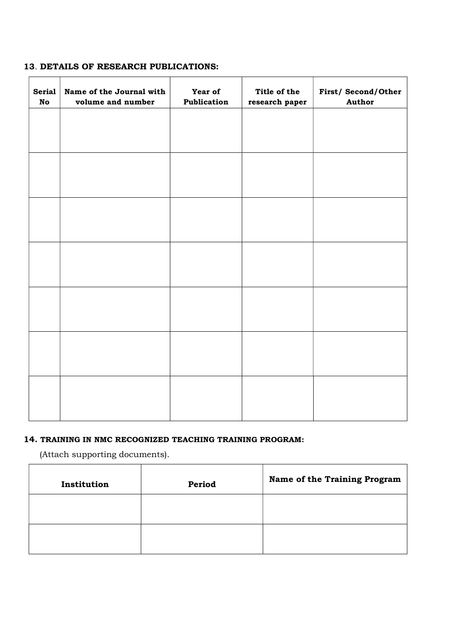### 13. DETAILS OF RESEARCH PUBLICATIONS:

| <b>Serial</b><br><b>No</b> | Name of the Journal with<br>volume and number | Year of<br>Publication | Title of the<br>research paper | First/Second/Other<br>Author |
|----------------------------|-----------------------------------------------|------------------------|--------------------------------|------------------------------|
|                            |                                               |                        |                                |                              |
|                            |                                               |                        |                                |                              |
|                            |                                               |                        |                                |                              |
|                            |                                               |                        |                                |                              |
|                            |                                               |                        |                                |                              |
|                            |                                               |                        |                                |                              |
|                            |                                               |                        |                                |                              |
|                            |                                               |                        |                                |                              |
|                            |                                               |                        |                                |                              |
|                            |                                               |                        |                                |                              |
|                            |                                               |                        |                                |                              |
|                            |                                               |                        |                                |                              |
|                            |                                               |                        |                                |                              |
|                            |                                               |                        |                                |                              |

### 14. TRAINING IN NMC RECOGNIZED TEACHING TRAINING PROGRAM:

 (Attach supporting documents). 

 $\mathbf{r}$ 

| Institution | Period | Name of the Training Program |
|-------------|--------|------------------------------|
|             |        |                              |
|             |        |                              |

 $\overline{\phantom{0}}$ 

 $\overline{\phantom{0}}$